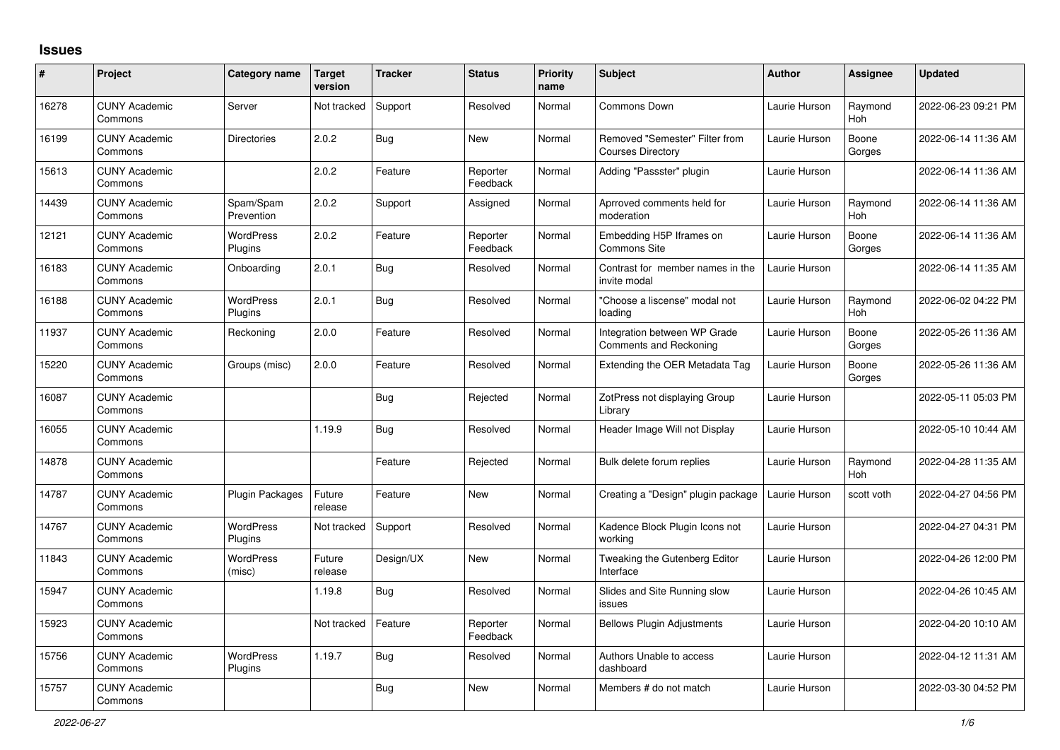## **Issues**

| #     | Project                         | Category name                      | <b>Target</b><br>version | <b>Tracker</b> | <b>Status</b>        | <b>Priority</b><br>name | <b>Subject</b>                                                | <b>Author</b> | <b>Assignee</b> | <b>Updated</b>      |
|-------|---------------------------------|------------------------------------|--------------------------|----------------|----------------------|-------------------------|---------------------------------------------------------------|---------------|-----------------|---------------------|
| 16278 | <b>CUNY Academic</b><br>Commons | Server                             | Not tracked              | Support        | Resolved             | Normal                  | Commons Down                                                  | Laurie Hurson | Raymond<br>Hoh  | 2022-06-23 09:21 PM |
| 16199 | <b>CUNY Academic</b><br>Commons | <b>Directories</b>                 | 2.0.2                    | <b>Bug</b>     | <b>New</b>           | Normal                  | Removed "Semester" Filter from<br><b>Courses Directory</b>    | Laurie Hurson | Boone<br>Gorges | 2022-06-14 11:36 AM |
| 15613 | <b>CUNY Academic</b><br>Commons |                                    | 2.0.2                    | Feature        | Reporter<br>Feedback | Normal                  | Adding "Passster" plugin                                      | Laurie Hurson |                 | 2022-06-14 11:36 AM |
| 14439 | <b>CUNY Academic</b><br>Commons | Spam/Spam<br>Prevention            | 2.0.2                    | Support        | Assigned             | Normal                  | Aprroved comments held for<br>moderation                      | Laurie Hurson | Raymond<br>Hoh  | 2022-06-14 11:36 AM |
| 12121 | <b>CUNY Academic</b><br>Commons | <b>WordPress</b><br>Plugins        | 2.0.2                    | Feature        | Reporter<br>Feedback | Normal                  | Embedding H5P Iframes on<br><b>Commons Site</b>               | Laurie Hurson | Boone<br>Gorges | 2022-06-14 11:36 AM |
| 16183 | <b>CUNY Academic</b><br>Commons | Onboarding                         | 2.0.1                    | Bug            | Resolved             | Normal                  | Contrast for member names in the<br>invite modal              | Laurie Hurson |                 | 2022-06-14 11:35 AM |
| 16188 | <b>CUNY Academic</b><br>Commons | WordPress<br>Plugins               | 2.0.1                    | Bug            | Resolved             | Normal                  | "Choose a liscense" modal not<br>loading                      | Laurie Hurson | Raymond<br>Hoh  | 2022-06-02 04:22 PM |
| 11937 | <b>CUNY Academic</b><br>Commons | Reckoning                          | 2.0.0                    | Feature        | Resolved             | Normal                  | Integration between WP Grade<br><b>Comments and Reckoning</b> | Laurie Hurson | Boone<br>Gorges | 2022-05-26 11:36 AM |
| 15220 | <b>CUNY Academic</b><br>Commons | Groups (misc)                      | 2.0.0                    | Feature        | Resolved             | Normal                  | Extending the OER Metadata Tag                                | Laurie Hurson | Boone<br>Gorges | 2022-05-26 11:36 AM |
| 16087 | <b>CUNY Academic</b><br>Commons |                                    |                          | Bug            | Rejected             | Normal                  | ZotPress not displaying Group<br>Librarv                      | Laurie Hurson |                 | 2022-05-11 05:03 PM |
| 16055 | <b>CUNY Academic</b><br>Commons |                                    | 1.19.9                   | <b>Bug</b>     | Resolved             | Normal                  | Header Image Will not Display                                 | Laurie Hurson |                 | 2022-05-10 10:44 AM |
| 14878 | <b>CUNY Academic</b><br>Commons |                                    |                          | Feature        | Rejected             | Normal                  | Bulk delete forum replies                                     | Laurie Hurson | Raymond<br>Hoh  | 2022-04-28 11:35 AM |
| 14787 | <b>CUNY Academic</b><br>Commons | Plugin Packages                    | Future<br>release        | Feature        | New                  | Normal                  | Creating a "Design" plugin package                            | Laurie Hurson | scott voth      | 2022-04-27 04:56 PM |
| 14767 | <b>CUNY Academic</b><br>Commons | <b>WordPress</b><br>Plugins        | Not tracked              | Support        | Resolved             | Normal                  | Kadence Block Plugin Icons not<br>workina                     | Laurie Hurson |                 | 2022-04-27 04:31 PM |
| 11843 | <b>CUNY Academic</b><br>Commons | WordPress<br>(misc)                | Future<br>release        | Design/UX      | New                  | Normal                  | Tweaking the Gutenberg Editor<br>Interface                    | Laurie Hurson |                 | 2022-04-26 12:00 PM |
| 15947 | <b>CUNY Academic</b><br>Commons |                                    | 1.19.8                   | <b>Bug</b>     | Resolved             | Normal                  | Slides and Site Running slow<br>issues                        | Laurie Hurson |                 | 2022-04-26 10:45 AM |
| 15923 | <b>CUNY Academic</b><br>Commons |                                    | Not tracked              | Feature        | Reporter<br>Feedback | Normal                  | <b>Bellows Plugin Adjustments</b>                             | Laurie Hurson |                 | 2022-04-20 10:10 AM |
| 15756 | <b>CUNY Academic</b><br>Commons | <b>WordPress</b><br><b>Plugins</b> | 1.19.7                   | <b>Bug</b>     | Resolved             | Normal                  | Authors Unable to access<br>dashboard                         | Laurie Hurson |                 | 2022-04-12 11:31 AM |
| 15757 | <b>CUNY Academic</b><br>Commons |                                    |                          | Bug            | <b>New</b>           | Normal                  | Members # do not match                                        | Laurie Hurson |                 | 2022-03-30 04:52 PM |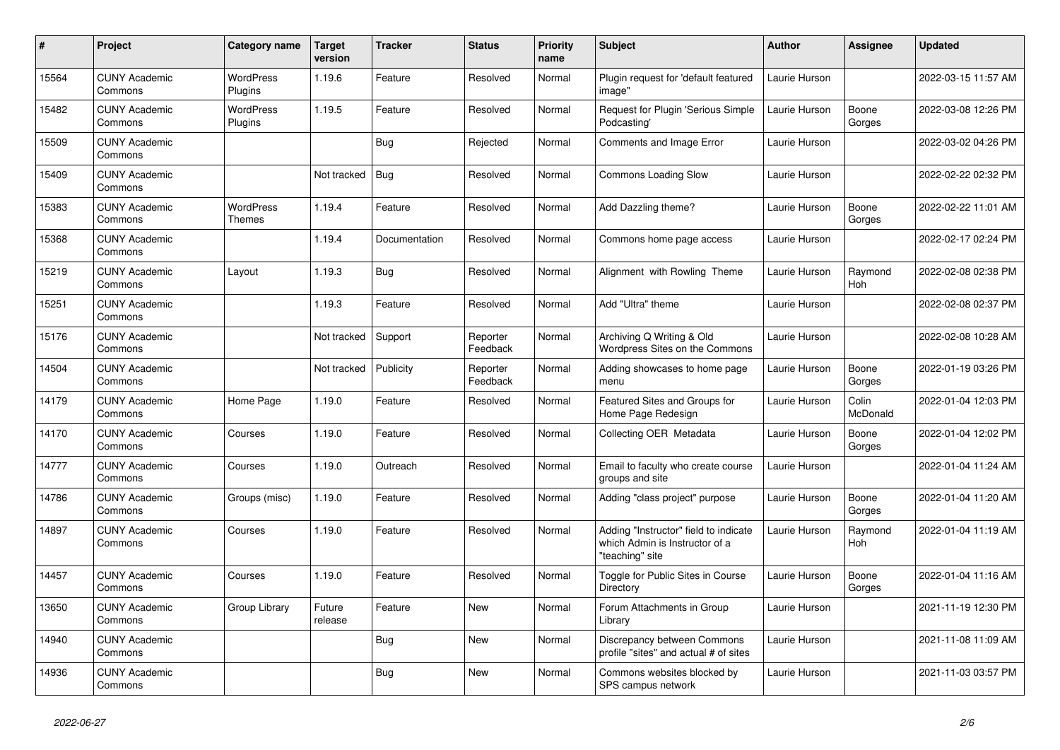| $\#$  | Project                         | Category name                     | <b>Target</b><br>version | <b>Tracker</b> | <b>Status</b>        | <b>Priority</b><br>name | <b>Subject</b>                                                                             | <b>Author</b> | <b>Assignee</b>       | Updated             |
|-------|---------------------------------|-----------------------------------|--------------------------|----------------|----------------------|-------------------------|--------------------------------------------------------------------------------------------|---------------|-----------------------|---------------------|
| 15564 | <b>CUNY Academic</b><br>Commons | <b>WordPress</b><br>Plugins       | 1.19.6                   | Feature        | Resolved             | Normal                  | Plugin request for 'default featured<br>image"                                             | Laurie Hurson |                       | 2022-03-15 11:57 AM |
| 15482 | <b>CUNY Academic</b><br>Commons | <b>WordPress</b><br>Plugins       | 1.19.5                   | Feature        | Resolved             | Normal                  | Request for Plugin 'Serious Simple<br>Podcasting'                                          | Laurie Hurson | Boone<br>Gorges       | 2022-03-08 12:26 PM |
| 15509 | <b>CUNY Academic</b><br>Commons |                                   |                          | <b>Bug</b>     | Rejected             | Normal                  | Comments and Image Error                                                                   | Laurie Hurson |                       | 2022-03-02 04:26 PM |
| 15409 | <b>CUNY Academic</b><br>Commons |                                   | Not tracked              | <b>Bug</b>     | Resolved             | Normal                  | Commons Loading Slow                                                                       | Laurie Hurson |                       | 2022-02-22 02:32 PM |
| 15383 | <b>CUNY Academic</b><br>Commons | <b>WordPress</b><br><b>Themes</b> | 1.19.4                   | Feature        | Resolved             | Normal                  | Add Dazzling theme?                                                                        | Laurie Hurson | Boone<br>Gorges       | 2022-02-22 11:01 AM |
| 15368 | <b>CUNY Academic</b><br>Commons |                                   | 1.19.4                   | Documentation  | Resolved             | Normal                  | Commons home page access                                                                   | Laurie Hurson |                       | 2022-02-17 02:24 PM |
| 15219 | <b>CUNY Academic</b><br>Commons | Layout                            | 1.19.3                   | <b>Bug</b>     | Resolved             | Normal                  | Alignment with Rowling Theme                                                               | Laurie Hurson | Raymond<br><b>Hoh</b> | 2022-02-08 02:38 PM |
| 15251 | <b>CUNY Academic</b><br>Commons |                                   | 1.19.3                   | Feature        | Resolved             | Normal                  | Add "Ultra" theme                                                                          | Laurie Hurson |                       | 2022-02-08 02:37 PM |
| 15176 | <b>CUNY Academic</b><br>Commons |                                   | Not tracked              | Support        | Reporter<br>Feedback | Normal                  | Archiving Q Writing & Old<br>Wordpress Sites on the Commons                                | Laurie Hurson |                       | 2022-02-08 10:28 AM |
| 14504 | <b>CUNY Academic</b><br>Commons |                                   | Not tracked              | Publicity      | Reporter<br>Feedback | Normal                  | Adding showcases to home page<br>menu                                                      | Laurie Hurson | Boone<br>Gorges       | 2022-01-19 03:26 PM |
| 14179 | <b>CUNY Academic</b><br>Commons | Home Page                         | 1.19.0                   | Feature        | Resolved             | Normal                  | Featured Sites and Groups for<br>Home Page Redesign                                        | Laurie Hurson | Colin<br>McDonald     | 2022-01-04 12:03 PM |
| 14170 | <b>CUNY Academic</b><br>Commons | Courses                           | 1.19.0                   | Feature        | Resolved             | Normal                  | Collecting OER Metadata                                                                    | Laurie Hurson | Boone<br>Gorges       | 2022-01-04 12:02 PM |
| 14777 | <b>CUNY Academic</b><br>Commons | Courses                           | 1.19.0                   | Outreach       | Resolved             | Normal                  | Email to faculty who create course<br>groups and site                                      | Laurie Hurson |                       | 2022-01-04 11:24 AM |
| 14786 | <b>CUNY Academic</b><br>Commons | Groups (misc)                     | 1.19.0                   | Feature        | Resolved             | Normal                  | Adding "class project" purpose                                                             | Laurie Hurson | Boone<br>Gorges       | 2022-01-04 11:20 AM |
| 14897 | <b>CUNY Academic</b><br>Commons | Courses                           | 1.19.0                   | Feature        | Resolved             | Normal                  | Adding "Instructor" field to indicate<br>which Admin is Instructor of a<br>"teaching" site | Laurie Hurson | Raymond<br>Hoh        | 2022-01-04 11:19 AM |
| 14457 | <b>CUNY Academic</b><br>Commons | Courses                           | 1.19.0                   | Feature        | Resolved             | Normal                  | Toggle for Public Sites in Course<br>Directory                                             | Laurie Hurson | Boone<br>Gorges       | 2022-01-04 11:16 AM |
| 13650 | <b>CUNY Academic</b><br>Commons | Group Library                     | Future<br>release        | Feature        | <b>New</b>           | Normal                  | Forum Attachments in Group<br>Library                                                      | Laurie Hurson |                       | 2021-11-19 12:30 PM |
| 14940 | <b>CUNY Academic</b><br>Commons |                                   |                          | <b>Bug</b>     | New                  | Normal                  | Discrepancy between Commons<br>profile "sites" and actual # of sites                       | Laurie Hurson |                       | 2021-11-08 11:09 AM |
| 14936 | <b>CUNY Academic</b><br>Commons |                                   |                          | <b>Bug</b>     | <b>New</b>           | Normal                  | Commons websites blocked by<br>SPS campus network                                          | Laurie Hurson |                       | 2021-11-03 03:57 PM |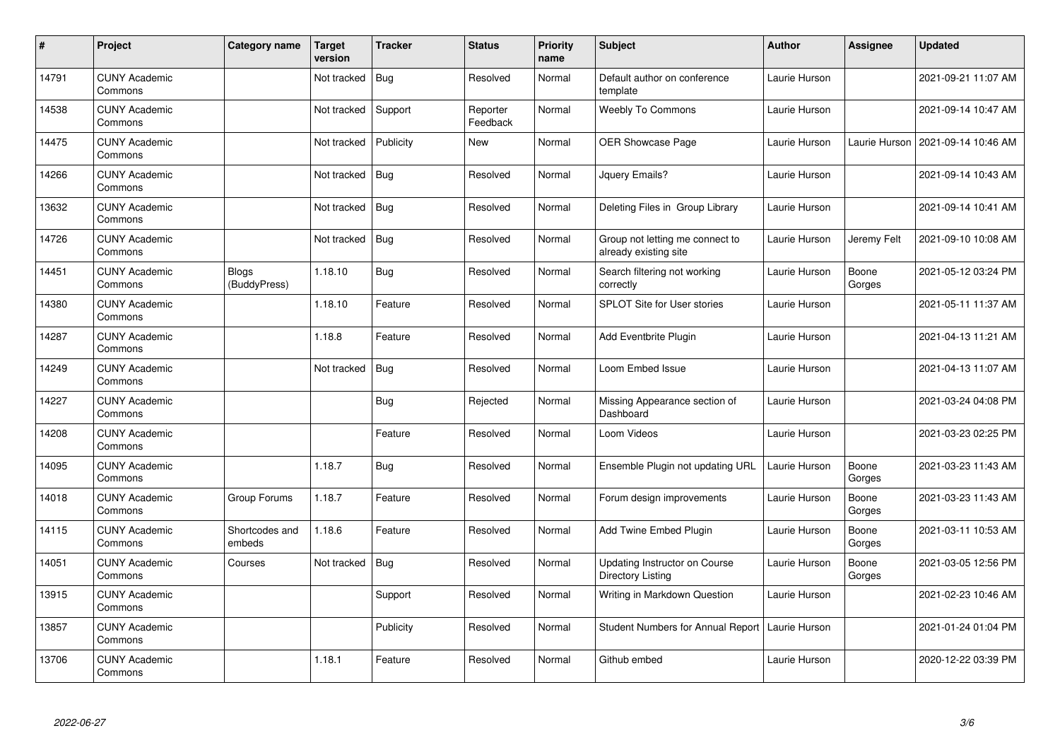| $\sharp$ | Project                         | Category name            | <b>Target</b><br>version | <b>Tracker</b> | <b>Status</b>        | <b>Priority</b><br>name | <b>Subject</b>                                            | <b>Author</b> | <b>Assignee</b> | <b>Updated</b>      |
|----------|---------------------------------|--------------------------|--------------------------|----------------|----------------------|-------------------------|-----------------------------------------------------------|---------------|-----------------|---------------------|
| 14791    | <b>CUNY Academic</b><br>Commons |                          | Not tracked              | <b>Bug</b>     | Resolved             | Normal                  | Default author on conference<br>template                  | Laurie Hurson |                 | 2021-09-21 11:07 AM |
| 14538    | <b>CUNY Academic</b><br>Commons |                          | Not tracked              | Support        | Reporter<br>Feedback | Normal                  | <b>Weebly To Commons</b>                                  | Laurie Hurson |                 | 2021-09-14 10:47 AM |
| 14475    | <b>CUNY Academic</b><br>Commons |                          | Not tracked              | Publicity      | New                  | Normal                  | OER Showcase Page                                         | Laurie Hurson | Laurie Hurson   | 2021-09-14 10:46 AM |
| 14266    | <b>CUNY Academic</b><br>Commons |                          | Not tracked              | <b>Bug</b>     | Resolved             | Normal                  | Jquery Emails?                                            | Laurie Hurson |                 | 2021-09-14 10:43 AM |
| 13632    | <b>CUNY Academic</b><br>Commons |                          | Not tracked              | <b>Bug</b>     | Resolved             | Normal                  | Deleting Files in Group Library                           | Laurie Hurson |                 | 2021-09-14 10:41 AM |
| 14726    | <b>CUNY Academic</b><br>Commons |                          | Not tracked              | <b>Bug</b>     | Resolved             | Normal                  | Group not letting me connect to<br>already existing site  | Laurie Hurson | Jeremy Felt     | 2021-09-10 10:08 AM |
| 14451    | <b>CUNY Academic</b><br>Commons | Blogs<br>(BuddyPress)    | 1.18.10                  | <b>Bug</b>     | Resolved             | Normal                  | Search filtering not working<br>correctly                 | Laurie Hurson | Boone<br>Gorges | 2021-05-12 03:24 PM |
| 14380    | <b>CUNY Academic</b><br>Commons |                          | 1.18.10                  | Feature        | Resolved             | Normal                  | <b>SPLOT Site for User stories</b>                        | Laurie Hurson |                 | 2021-05-11 11:37 AM |
| 14287    | <b>CUNY Academic</b><br>Commons |                          | 1.18.8                   | Feature        | Resolved             | Normal                  | <b>Add Eventbrite Plugin</b>                              | Laurie Hurson |                 | 2021-04-13 11:21 AM |
| 14249    | <b>CUNY Academic</b><br>Commons |                          | Not tracked              | <b>Bug</b>     | Resolved             | Normal                  | Loom Embed Issue                                          | Laurie Hurson |                 | 2021-04-13 11:07 AM |
| 14227    | <b>CUNY Academic</b><br>Commons |                          |                          | <b>Bug</b>     | Rejected             | Normal                  | Missing Appearance section of<br>Dashboard                | Laurie Hurson |                 | 2021-03-24 04:08 PM |
| 14208    | <b>CUNY Academic</b><br>Commons |                          |                          | Feature        | Resolved             | Normal                  | Loom Videos                                               | Laurie Hurson |                 | 2021-03-23 02:25 PM |
| 14095    | <b>CUNY Academic</b><br>Commons |                          | 1.18.7                   | <b>Bug</b>     | Resolved             | Normal                  | Ensemble Plugin not updating URL                          | Laurie Hurson | Boone<br>Gorges | 2021-03-23 11:43 AM |
| 14018    | <b>CUNY Academic</b><br>Commons | Group Forums             | 1.18.7                   | Feature        | Resolved             | Normal                  | Forum design improvements                                 | Laurie Hurson | Boone<br>Gorges | 2021-03-23 11:43 AM |
| 14115    | <b>CUNY Academic</b><br>Commons | Shortcodes and<br>embeds | 1.18.6                   | Feature        | Resolved             | Normal                  | Add Twine Embed Plugin                                    | Laurie Hurson | Boone<br>Gorges | 2021-03-11 10:53 AM |
| 14051    | <b>CUNY Academic</b><br>Commons | Courses                  | Not tracked              | Bug            | Resolved             | Normal                  | Updating Instructor on Course<br><b>Directory Listing</b> | Laurie Hurson | Boone<br>Gorges | 2021-03-05 12:56 PM |
| 13915    | <b>CUNY Academic</b><br>Commons |                          |                          | Support        | Resolved             | Normal                  | Writing in Markdown Question                              | Laurie Hurson |                 | 2021-02-23 10:46 AM |
| 13857    | <b>CUNY Academic</b><br>Commons |                          |                          | Publicity      | Resolved             | Normal                  | <b>Student Numbers for Annual Report</b>                  | Laurie Hurson |                 | 2021-01-24 01:04 PM |
| 13706    | <b>CUNY Academic</b><br>Commons |                          | 1.18.1                   | Feature        | Resolved             | Normal                  | Github embed                                              | Laurie Hurson |                 | 2020-12-22 03:39 PM |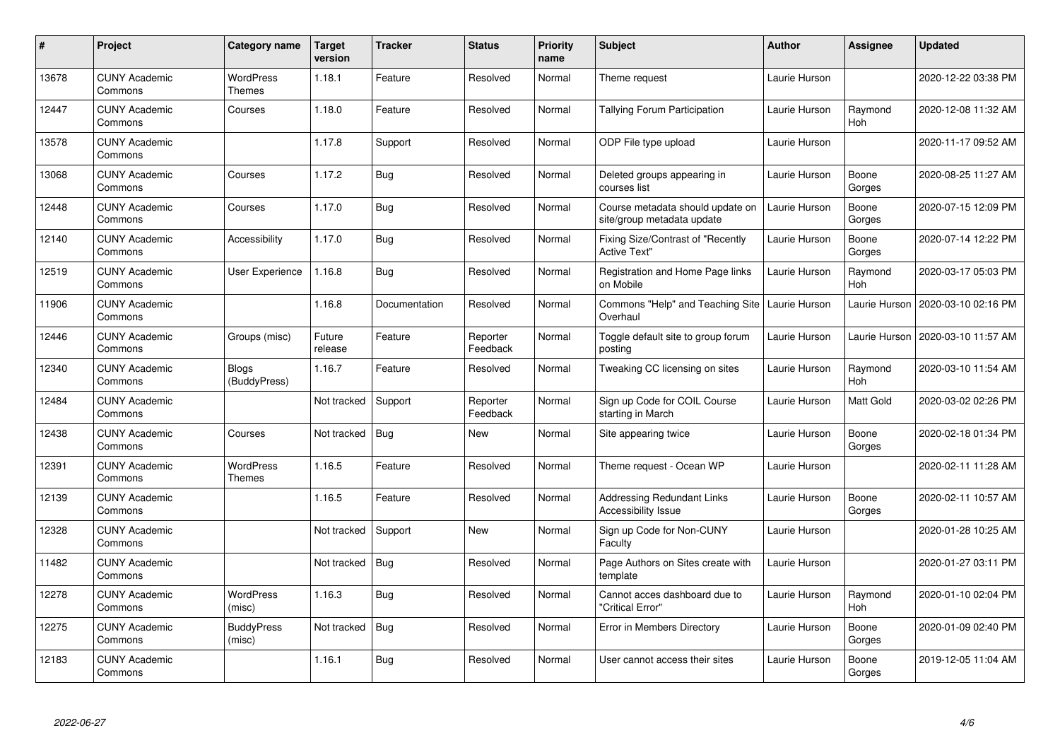| #     | <b>Project</b>                  | Category name                     | <b>Target</b><br>version | <b>Tracker</b> | <b>Status</b>        | <b>Priority</b><br>name | <b>Subject</b>                                                 | <b>Author</b> | <b>Assignee</b> | <b>Updated</b>      |
|-------|---------------------------------|-----------------------------------|--------------------------|----------------|----------------------|-------------------------|----------------------------------------------------------------|---------------|-----------------|---------------------|
| 13678 | <b>CUNY Academic</b><br>Commons | <b>WordPress</b><br>Themes        | 1.18.1                   | Feature        | Resolved             | Normal                  | Theme request                                                  | Laurie Hurson |                 | 2020-12-22 03:38 PM |
| 12447 | <b>CUNY Academic</b><br>Commons | Courses                           | 1.18.0                   | Feature        | Resolved             | Normal                  | Tallying Forum Participation                                   | Laurie Hurson | Raymond<br>Hoh  | 2020-12-08 11:32 AM |
| 13578 | <b>CUNY Academic</b><br>Commons |                                   | 1.17.8                   | Support        | Resolved             | Normal                  | ODP File type upload                                           | Laurie Hurson |                 | 2020-11-17 09:52 AM |
| 13068 | <b>CUNY Academic</b><br>Commons | Courses                           | 1.17.2                   | <b>Bug</b>     | Resolved             | Normal                  | Deleted groups appearing in<br>courses list                    | Laurie Hurson | Boone<br>Gorges | 2020-08-25 11:27 AM |
| 12448 | <b>CUNY Academic</b><br>Commons | Courses                           | 1.17.0                   | Bug            | Resolved             | Normal                  | Course metadata should update on<br>site/group metadata update | Laurie Hurson | Boone<br>Gorges | 2020-07-15 12:09 PM |
| 12140 | <b>CUNY Academic</b><br>Commons | Accessibility                     | 1.17.0                   | Bug            | Resolved             | Normal                  | Fixing Size/Contrast of "Recently<br><b>Active Text"</b>       | Laurie Hurson | Boone<br>Gorges | 2020-07-14 12:22 PM |
| 12519 | <b>CUNY Academic</b><br>Commons | <b>User Experience</b>            | 1.16.8                   | <b>Bug</b>     | Resolved             | Normal                  | Registration and Home Page links<br>on Mobile                  | Laurie Hurson | Raymond<br>Hoh  | 2020-03-17 05:03 PM |
| 11906 | <b>CUNY Academic</b><br>Commons |                                   | 1.16.8                   | Documentation  | Resolved             | Normal                  | Commons "Help" and Teaching Site<br>Overhaul                   | Laurie Hurson | Laurie Hurson   | 2020-03-10 02:16 PM |
| 12446 | <b>CUNY Academic</b><br>Commons | Groups (misc)                     | Future<br>release        | Feature        | Reporter<br>Feedback | Normal                  | Toggle default site to group forum<br>posting                  | Laurie Hurson | Laurie Hurson   | 2020-03-10 11:57 AM |
| 12340 | <b>CUNY Academic</b><br>Commons | <b>Blogs</b><br>(BuddyPress)      | 1.16.7                   | Feature        | Resolved             | Normal                  | Tweaking CC licensing on sites                                 | Laurie Hurson | Raymond<br>Hoh  | 2020-03-10 11:54 AM |
| 12484 | <b>CUNY Academic</b><br>Commons |                                   | Not tracked              | Support        | Reporter<br>Feedback | Normal                  | Sign up Code for COIL Course<br>starting in March              | Laurie Hurson | Matt Gold       | 2020-03-02 02:26 PM |
| 12438 | <b>CUNY Academic</b><br>Commons | Courses                           | Not tracked              | Bug            | New                  | Normal                  | Site appearing twice                                           | Laurie Hurson | Boone<br>Gorges | 2020-02-18 01:34 PM |
| 12391 | <b>CUNY Academic</b><br>Commons | <b>WordPress</b><br><b>Themes</b> | 1.16.5                   | Feature        | Resolved             | Normal                  | Theme request - Ocean WP                                       | Laurie Hurson |                 | 2020-02-11 11:28 AM |
| 12139 | <b>CUNY Academic</b><br>Commons |                                   | 1.16.5                   | Feature        | Resolved             | Normal                  | <b>Addressing Redundant Links</b><br>Accessibility Issue       | Laurie Hurson | Boone<br>Gorges | 2020-02-11 10:57 AM |
| 12328 | <b>CUNY Academic</b><br>Commons |                                   | Not tracked              | Support        | New                  | Normal                  | Sign up Code for Non-CUNY<br>Faculty                           | Laurie Hurson |                 | 2020-01-28 10:25 AM |
| 11482 | <b>CUNY Academic</b><br>Commons |                                   | Not tracked              | Bug            | Resolved             | Normal                  | Page Authors on Sites create with<br>template                  | Laurie Hurson |                 | 2020-01-27 03:11 PM |
| 12278 | <b>CUNY Academic</b><br>Commons | <b>WordPress</b><br>(misc)        | 1.16.3                   | Bug            | Resolved             | Normal                  | Cannot acces dashboard due to<br>"Critical Error"              | Laurie Hurson | Raymond<br>Hoh  | 2020-01-10 02:04 PM |
| 12275 | <b>CUNY Academic</b><br>Commons | <b>BuddyPress</b><br>(misc)       | Not tracked              | Bug            | Resolved             | Normal                  | Error in Members Directory                                     | Laurie Hurson | Boone<br>Gorges | 2020-01-09 02:40 PM |
| 12183 | <b>CUNY Academic</b><br>Commons |                                   | 1.16.1                   | <b>Bug</b>     | Resolved             | Normal                  | User cannot access their sites                                 | Laurie Hurson | Boone<br>Gorges | 2019-12-05 11:04 AM |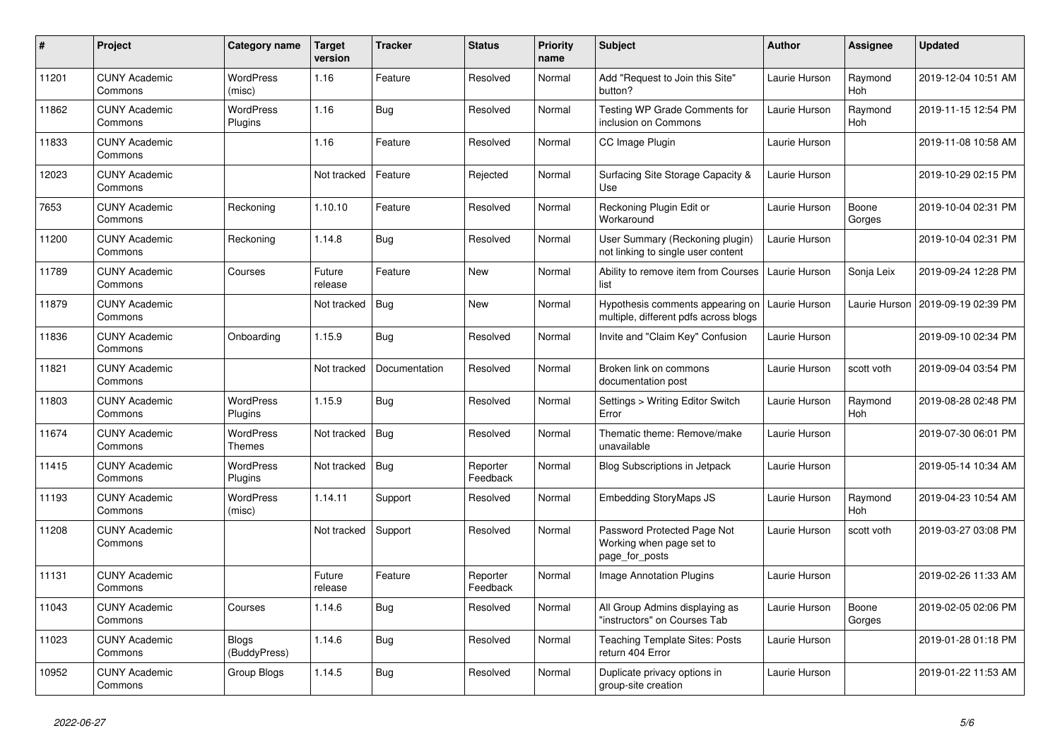| $\#$  | Project                         | Category name                | <b>Target</b><br>version | <b>Tracker</b> | <b>Status</b>        | <b>Priority</b><br>name | <b>Subject</b>                                                            | Author        | <b>Assignee</b> | <b>Updated</b>      |
|-------|---------------------------------|------------------------------|--------------------------|----------------|----------------------|-------------------------|---------------------------------------------------------------------------|---------------|-----------------|---------------------|
| 11201 | <b>CUNY Academic</b><br>Commons | <b>WordPress</b><br>(misc)   | 1.16                     | Feature        | Resolved             | Normal                  | Add "Request to Join this Site"<br>button?                                | Laurie Hurson | Raymond<br>Hoh  | 2019-12-04 10:51 AM |
| 11862 | <b>CUNY Academic</b><br>Commons | <b>WordPress</b><br>Plugins  | 1.16                     | Bug            | Resolved             | Normal                  | Testing WP Grade Comments for<br>inclusion on Commons                     | Laurie Hurson | Raymond<br>Hoh  | 2019-11-15 12:54 PM |
| 11833 | <b>CUNY Academic</b><br>Commons |                              | 1.16                     | Feature        | Resolved             | Normal                  | CC Image Plugin                                                           | Laurie Hurson |                 | 2019-11-08 10:58 AM |
| 12023 | <b>CUNY Academic</b><br>Commons |                              | Not tracked              | Feature        | Rejected             | Normal                  | Surfacing Site Storage Capacity &<br>Use                                  | Laurie Hurson |                 | 2019-10-29 02:15 PM |
| 7653  | <b>CUNY Academic</b><br>Commons | Reckoning                    | 1.10.10                  | Feature        | Resolved             | Normal                  | Reckoning Plugin Edit or<br>Workaround                                    | Laurie Hurson | Boone<br>Gorges | 2019-10-04 02:31 PM |
| 11200 | <b>CUNY Academic</b><br>Commons | Reckoning                    | 1.14.8                   | <b>Bug</b>     | Resolved             | Normal                  | User Summary (Reckoning plugin)<br>not linking to single user content     | Laurie Hurson |                 | 2019-10-04 02:31 PM |
| 11789 | <b>CUNY Academic</b><br>Commons | Courses                      | Future<br>release        | Feature        | <b>New</b>           | Normal                  | Ability to remove item from Courses<br>list                               | Laurie Hurson | Sonja Leix      | 2019-09-24 12:28 PM |
| 11879 | <b>CUNY Academic</b><br>Commons |                              | Not tracked              | <b>Bug</b>     | <b>New</b>           | Normal                  | Hypothesis comments appearing on<br>multiple, different pdfs across blogs | Laurie Hurson | Laurie Hurson   | 2019-09-19 02:39 PM |
| 11836 | <b>CUNY Academic</b><br>Commons | Onboarding                   | 1.15.9                   | <b>Bug</b>     | Resolved             | Normal                  | Invite and "Claim Key" Confusion                                          | Laurie Hurson |                 | 2019-09-10 02:34 PM |
| 11821 | <b>CUNY Academic</b><br>Commons |                              | Not tracked              | Documentation  | Resolved             | Normal                  | Broken link on commons<br>documentation post                              | Laurie Hurson | scott voth      | 2019-09-04 03:54 PM |
| 11803 | <b>CUNY Academic</b><br>Commons | <b>WordPress</b><br>Plugins  | 1.15.9                   | <b>Bug</b>     | Resolved             | Normal                  | Settings > Writing Editor Switch<br>Error                                 | Laurie Hurson | Raymond<br>Hoh  | 2019-08-28 02:48 PM |
| 11674 | <b>CUNY Academic</b><br>Commons | <b>WordPress</b><br>Themes   | Not tracked              | Bug            | Resolved             | Normal                  | Thematic theme: Remove/make<br>unavailable                                | Laurie Hurson |                 | 2019-07-30 06:01 PM |
| 11415 | <b>CUNY Academic</b><br>Commons | WordPress<br>Plugins         | Not tracked              | Bug            | Reporter<br>Feedback | Normal                  | <b>Blog Subscriptions in Jetpack</b>                                      | Laurie Hurson |                 | 2019-05-14 10:34 AM |
| 11193 | <b>CUNY Academic</b><br>Commons | WordPress<br>(misc)          | 1.14.11                  | Support        | Resolved             | Normal                  | Embedding StoryMaps JS                                                    | Laurie Hurson | Raymond<br>Hoh  | 2019-04-23 10:54 AM |
| 11208 | <b>CUNY Academic</b><br>Commons |                              | Not tracked              | Support        | Resolved             | Normal                  | Password Protected Page Not<br>Working when page set to<br>page_for_posts | Laurie Hurson | scott voth      | 2019-03-27 03:08 PM |
| 11131 | <b>CUNY Academic</b><br>Commons |                              | Future<br>release        | Feature        | Reporter<br>Feedback | Normal                  | Image Annotation Plugins                                                  | Laurie Hurson |                 | 2019-02-26 11:33 AM |
| 11043 | <b>CUNY Academic</b><br>Commons | Courses                      | 1.14.6                   | Bug            | Resolved             | Normal                  | All Group Admins displaying as<br>"instructors" on Courses Tab            | Laurie Hurson | Boone<br>Gorges | 2019-02-05 02:06 PM |
| 11023 | <b>CUNY Academic</b><br>Commons | <b>Blogs</b><br>(BuddyPress) | 1.14.6                   | <b>Bug</b>     | Resolved             | Normal                  | <b>Teaching Template Sites: Posts</b><br>return 404 Error                 | Laurie Hurson |                 | 2019-01-28 01:18 PM |
| 10952 | <b>CUNY Academic</b><br>Commons | Group Blogs                  | 1.14.5                   | <b>Bug</b>     | Resolved             | Normal                  | Duplicate privacy options in<br>group-site creation                       | Laurie Hurson |                 | 2019-01-22 11:53 AM |